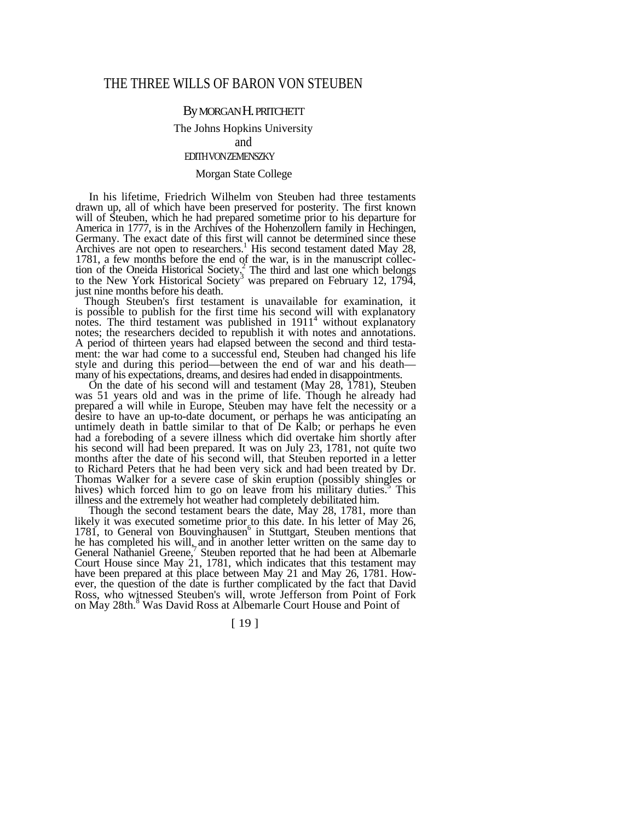# THE THREE WILLS OF BARON VON STEUBEN

# By MORGAN H. PRITCHETT

#### The Johns Hopkins University

and

## EDITH VON ZEMENSZKY

## Morgan State College

In his lifetime, Friedrich Wilhelm von Steuben had three testaments drawn up, all of which have been preserved for posterity. The first known will of Steuben, which he had prepared sometime prior to his departure for America in 1777, is in the Archives of the Hohenzollern family in Hechingen, Germany. The exact date of this first will cannot be determined since these Archives are not open to researchers.<sup>1</sup> His second testament dated May 28, 1781, a few months before the end of the war, is in the manuscript collection of the Oneida Historical Society.<sup>2</sup> The third and last one which belongs to the New York Historical Society<sup>3</sup> was prepared on February 12, 1794, just nine months before his death.

Though Steuben's first testament is unavailable for examination, it is possible to publish for the first time his second will with explanatory notes. The third testament was published in 1911<sup>4</sup> without explanatory notes; the researchers decided to republish it with notes and annotations. A period of thirteen years had elapsed between the second and third testament: the war had come to a successful end, Steuben had changed his life style and during this period—between the end of war and his death many of his expectations, dreams, and desires had ended in disappointments.

On the date of his second will and testament (May 28, 1781), Steuben was 51 years old and was in the prime of life. Though he already had prepared a will while in Europe, Steuben may have felt the necessity or a desire to have an up-to-date document, or perhaps he was anticipating an untimely death in battle similar to that of De Kalb; or perhaps he even had a foreboding of a severe illness which did overtake him shortly after his second will had been prepared. It was on July 23, 1781, not quite two months after the date of his second will, that Steuben reported in a letter to Richard Peters that he had been very sick and had been treated by Dr. Thomas Walker for a severe case of skin eruption (possibly shingles or hives) which forced him to go on leave from his military duties.<sup>5</sup> This illness and the extremely hot weather had completely debilitated him.

Though the second testament bears the date, May 28, 1781, more than likely it was executed sometime prior to this date. In his letter of May 26,  $1781$ , to General von Bouvinghausen<sup>6</sup> in Stuttgart, Steuben mentions that he has completed his will, and in another letter written on the same day to General Nathaniel Greene,<sup>7</sup> Steuben reported that he had been at Albemarle Court House since May 21, 1781, which indicates that this testament may have been prepared at this place between May 21 and May 26, 1781. However, the question of the date is further complicated by the fact that David Ross, who witnessed Steuben's will, wrote Jefferson from Point of Fork on May 28th.<sup>8</sup> Was David Ross at Albemarle Court House and Point of

[ 19 ]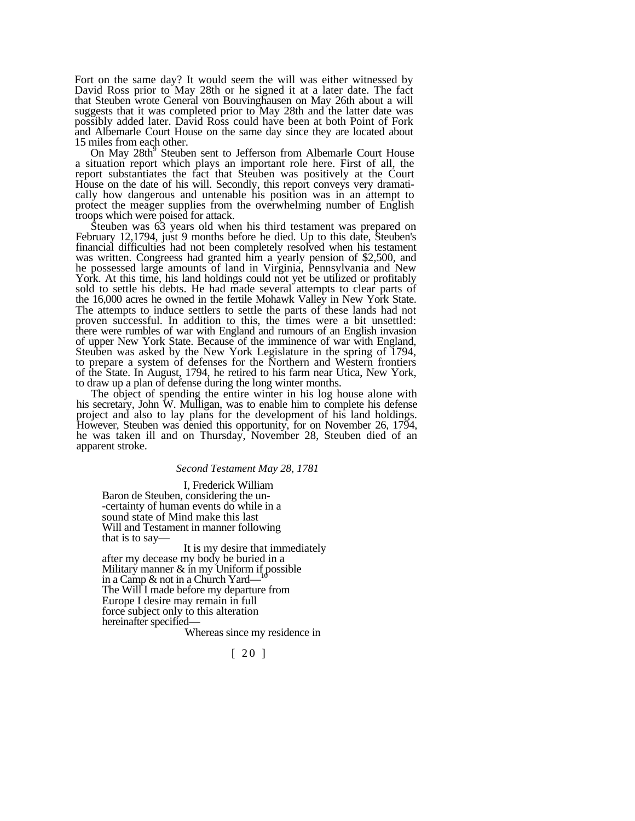Fort on the same day? It would seem the will was either witnessed by David Ross prior to May 28th or he signed it at a later date. The fact that Steuben wrote General von Bouvinghausen on May 26th about a will suggests that it was completed prior to May 28th and the latter date was possibly added later. David Ross could have been at both Point of Fork and Albemarle Court House on the same day since they are located about 15 miles from each other.

On May 28th<sup>9</sup> Steuben sent to Jefferson from Albemarle Court House a situation report which plays an important role here. First of all, the report substantiates the fact that Steuben was positively at the Court House on the date of his will. Secondly, this report conveys very dramatically how dangerous and untenable his position was in an attempt to protect the meager supplies from the overwhelming number of English troops which were poised for attack.

Steuben was 63 years old when his third testament was prepared on February 12,1794, just 9 months before he died. Up to this date, Steuben's financial difficulties had not been completely resolved when his testament was written. Congreess had granted him a yearly pension of \$2,500, and he possessed large amounts of land in Virginia, Pennsylvania and New York. At this time, his land holdings could not yet be utilized or profitably sold to settle his debts. He had made several attempts to clear parts of the 16,000 acres he owned in the fertile Mohawk Valley in New York State. The attempts to induce settlers to settle the parts of these lands had not proven successful. In addition to this, the times were a bit unsettled: there were rumbles of war with England and rumours of an English invasion of upper New York State. Because of the imminence of war with England, Steuben was asked by the New York Legislature in the spring of 1794, to prepare a system of defenses for the Northern and Western frontiers of the State. In August, 1794, he retired to his farm near Utica, New York, to draw up a plan of defense during the long winter months.

The object of spending the entire winter in his log house alone with his secretary, John W. Mulligan, was to enable him to complete his defense project and also to lay plans for the development of his land holdings. However, Steuben was denied this opportunity, for on November 26, 1794, he was taken ill and on Thursday, November 28, Steuben died of an apparent stroke.

#### *Second Testament May 28, 1781*

I, Frederick William Baron de Steuben, considering the un- -certainty of human events do while in a sound state of Mind make this last Will and Testament in manner following that is to say—

It is my desire that immediately after my decease my body be buried in a Military manner & in my Uniform if possible in a Camp & not in a Church Yard— The Will I made before my departure from Europe I desire may remain in full force subject only to this alteration hereinafter specified—

Whereas since my residence in

[ 20 ]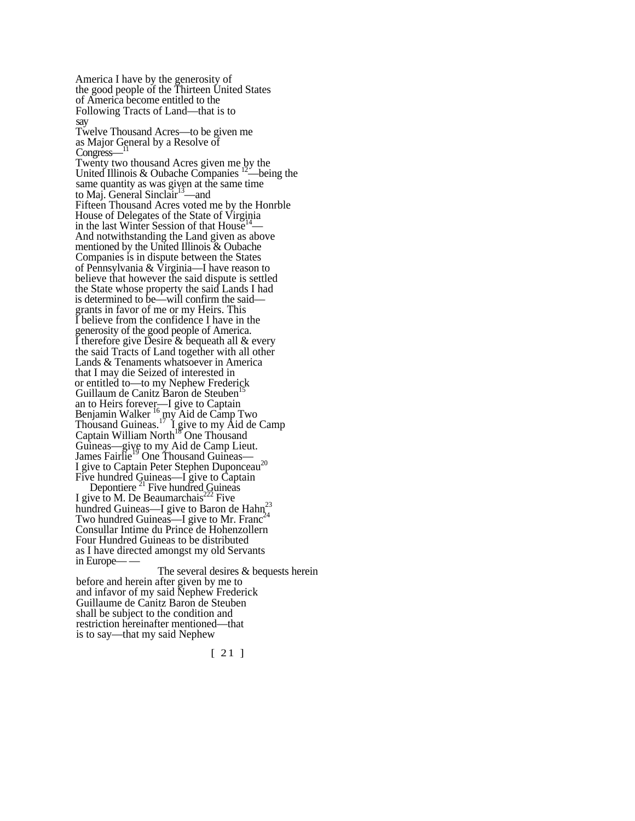America I have by the generosity of the good people of the Thirteen United States of America become entitled to the Following Tracts of Land—that is to say Twelve Thousand Acres—to be given me as Major General by a Resolve of Congress– Twenty two thousand Acres given me by the United Illinois & Oubache Companies  $12$ —being the same quantity as was given at the same time to Maj. General Sinclair<sup>13</sup>—and Fifteen Thousand Acres voted me by the Honrble House of Delegates of the State of Virginia<br>in the last Winter Session of that House<sup>14</sup> And notwithstanding the Land given as above mentioned by the United Illinois & Oubache Companies is in dispute between the States of Pennsylvania & Virginia—I have reason to believe that however the said dispute is settled the State whose property the said Lands I had is determined to be—will confirm the said grants in favor of me or my Heirs. This I believe from the confidence I have in the generosity of the good people of America. I therefore give Desire  $\&$  bequeath all  $\&$  every the said Tracts of Land together with all other Lands & Tenaments whatsoever in America that I may die Seized of interested in or entitled to—to my Nephew Frederick Guillaum de Canitz Baron de Steuben<sup>15</sup> an to Heirs forever—I give to Captain Benjamin Walker  $^{16}$  my Aid de Camp Two Thousand Guineas.<sup>17</sup> I give to my Aid de Camp Captain William North<sup>18</sup> One Thousand Guineas—give to my Aid de Camp Lieut. James Fairlie<sup>19</sup> One Thousand Guineas— I give to Captain Peter Stephen Duponceau<sup>20</sup> Five hundred Guineas—I give to Captain Depontiere  $^{21}$  Five hundred Guineas I give to M. De Beaumarchais<sup>222</sup> Five hundred Guineas—I give to Baron de  $\text{Hahn}^{23}_{\lambda}$ Two hundred Guineas—I give to Mr. Franc<sup>24</sup> Consullar Intime du Prince de Hohenzollern Four Hundred Guineas to be distributed as I have directed amongst my old Servants in Europe-

The several desires & bequests herein before and herein after given by me to and infavor of my said Nephew Frederick Guillaume de Canitz Baron de Steuben shall be subject to the condition and restriction hereinafter mentioned—that is to say—that my said Nephew

[ 21 ]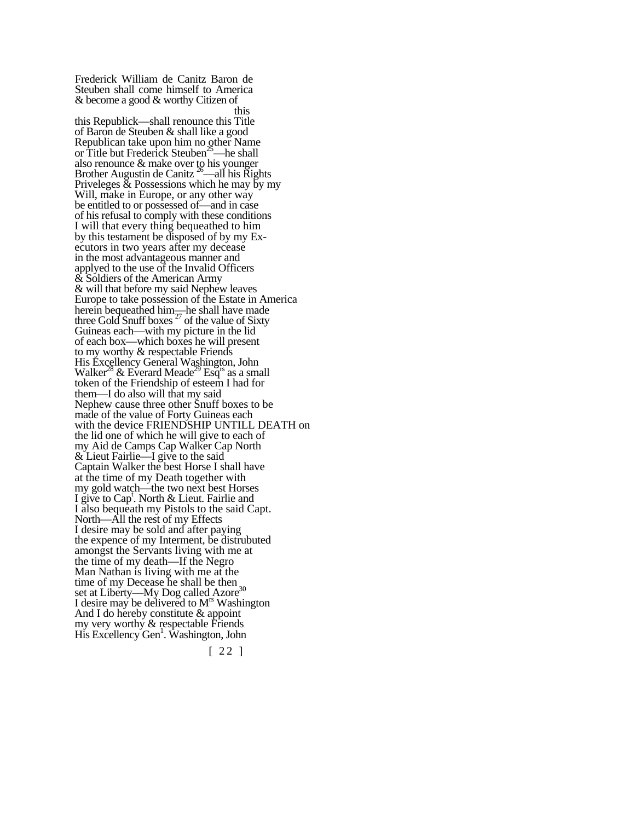Frederick William de Canitz Baron de Steuben shall come himself to America & become a good & worthy Citizen of this this Republick—shall renounce this Title of Baron de Steuben & shall like a good Republican take upon him no other Name<br>or Title but Frederick Steuben<sup>25</sup>—he shall or Title but Frederick Steuben<sup>25</sup> also renounce & make over to his younger Brother Augustin de Canitz  $26$ —all his Rights Priveleges  $\&$  Possessions which he may by my Will, make in Europe, or any other way be entitled to or possessed of—and in case of his refusal to comply with these conditions I will that every thing bequeathed to him by this testament be disposed of by my Executors in two years after my decease in the most advantageous manner and applyed to the use of the Invalid Officers & Soldiers of the American Army & will that before my said Nephew leaves Europe to take possession of the Estate in America herein bequeathed him—he shall have made three Gold Snuff boxes<sup> $27$ </sup> of the value of Sixty Guineas each—with my picture in the lid of each box—which boxes he will present to my worthy & respectable Friends His Excellency General Washington, John Walker<sup>28</sup> & Everard Meade<sup>29</sup> Esq<sup>rs</sup> as a small token of the Friendship of esteem I had for them—I do also will that my said Nephew cause three other Snuff boxes to be made of the value of Forty Guineas each with the device FRIENDSHIP UNTILL DEATH on the lid one of which he will give to each of my Aid de Camps Cap Walker Cap North & Lieut Fairlie—I give to the said Captain Walker the best Horse I shall have at the time of my Death together with my gold watch—the two next best Horses I give to Capt . North & Lieut. Fairlie and I also bequeath my Pistols to the said Capt. North—All the rest of my Effects I desire may be sold and after paying the expence of my Interment, be distrubuted amongst the Servants living with me at the time of my death—If the Negro Man Nathan is living with me at the time of my Decease he shall be then  $\frac{30}{2}$ set at Liberty—My Dog called Azore3 I desire may be delivered to M<sup>rs</sup> Washington And I do hereby constitute & appoint my very worthy & respectable Friends His Excellency Gen1 . Washington, John

[ 22 ]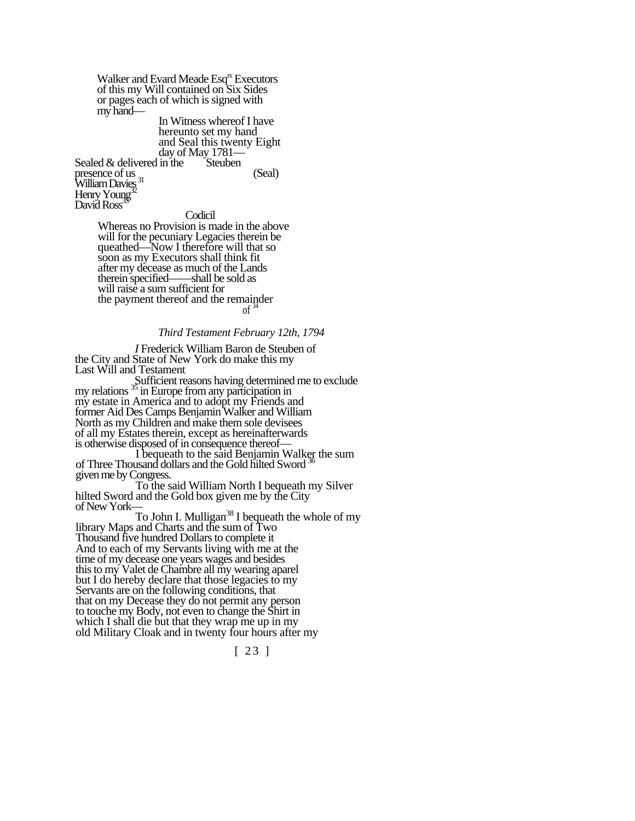Walker and Evard Meade Esq<sup>rs</sup> Executors of this my Will contained on Six Sides or pages each of which is signed with my hand— In Witness whereof I have

hereunto set my hand and Seal this twenty Eight day of May 1781—

Sealed  $&$  delivered in the Steuben

presence of us  $(Seal)$ William Davies<sup>31</sup> Henry Young David Ross<sup>3</sup>

Codicil

Whereas no Provision is made in the above will for the pecuniary Legacies therein be queathed—Now I therefore will that so soon as my Executors shall think fit after my decease as much of the Lands therein specified——shall be sold as will raise a sum sufficient for the payment thereof and the remainder of  $\frac{34}{3}$ 

## *Third Testament February 12th, 1794*

*I* Frederick William Baron de Steuben of the City and State of New York do make this my Last Will and Testament

Sufficient reasons having determined me to exclude my relations <sup>35</sup> in Europe from any participation in my estate in America and to adopt my Friends and<br>former Aid Des Camps Benjamin Walker and William North as my Children and make them sole devisees of all my Estates therein, except as hereinafterwards

I bequeath to the said Benjamin Walker the sum of Three Thousand dollars and the Gold hilted Sword  $36$ 

given me by Congress. To the said William North I bequeath my Silver hilted Sword and the Gold box given me by the City of New York—

To John I. Mulligan<sup>38</sup> I bequeath the whole of my library Maps and Charts and the sum of Two Thousand five hundred Dollars to complete it And to each of my Servants living with me at the time of my decease one years wages and besides this to my Valet de Chambre all my wearing aparel but I do hereby declare that those legacies to my Servants are on the following conditions, that that on my Decease they do not permit any person to touche my Body, not even to change the Shirt in which I shall die but that they wrap me up in my old Military Cloak and in twenty four hours after my

[ 23 ]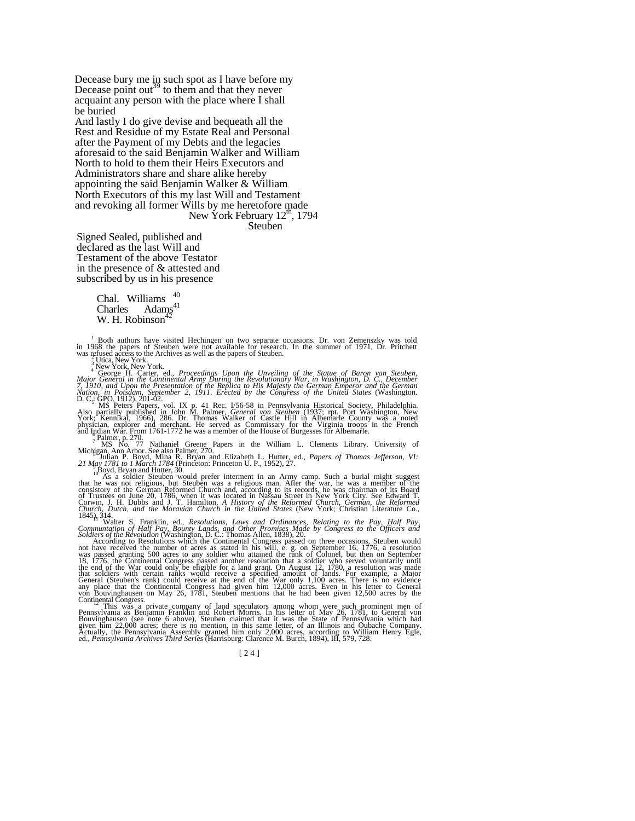Decease bury me in such spot as I have before my Decease point out<sup>39</sup> to them and that they never acquaint any person with the place where I shall be buried

And lastly I do give devise and bequeath all the Rest and Residue of my Estate Real and Personal after the Payment of my Debts and the legacies aforesaid to the said Benjamin Walker and William North to hold to them their Heirs Executors and Administrators share and share alike hereby appointing the said Benjamin Walker & William North Executors of this my last Will and Testament and revoking all former Wills by me heretofore made New York February  $12^{\text{m}}$ , 1794

Steuben

Signed Sealed, published and declared as the last Will and Testament of the above Testator in the presence of & attested and subscribed by us in his presence

> Chal. Williams  $^{40}$ <br>Charles Adams<sup>41</sup> Adams $41$ W. H. Robinson<sup>4</sup>

<sup>1</sup> Both authors have visited Hechingen on two separate occasions. Dr. von Zemenszky was told in 1968 the papers of Steuben were not available for research. In the summer of 1971, Dr. Pritchett was refused access to the Archives as well as the papers of Steuben.

<sup>2</sup> Utica, New York.<br>
<sup>2</sup> Utica, New York.<br>
<sup>2</sup> New York. New York.<br>
<sup>4</sup> George H. Carter, ed., *Proceedings Upon the Unveiling of the Statue of Baron van Steuben,*<br> *Major General in the Continental Army During the Revol* 

<sup>3</sup> MS Peters Papers, vol. IX p. 41 Rec. I/56-58 in Pennsylvania Historical Society, Philadelphia.<br>Also partially published in John M. Palmer, *General von Steuben* (1937; rpt. Port Washington, New<br>York; Kennikat, 1966), 2

<sup>8</sup> Julian P. Boyd, Mina R. Bryan and Elizabeth L. Hutter, ed., *Papers of Thomas Jefferson, VI:*<br>21 May 1781 to 1 March 1784 (Princeton: Princeton U. P., 1952), 27.

 $\frac{9}{10}$ Boyd, Bryan and Hutter, 30.<br>10 As a soldier Steuben would prefer interment in an Army camp. Such a burial might suggest that he was not religious, but Steuben was a religious man. After the war, he was a member consistory of the German Reformed Church and, according to its records, he was chairman of its Board of Trustees on June 20, 1786, when it was located in Nassau Street in New York City. See Edward T. Corwin, J. H. Dubbs and J. T. Hamilton, A History of the Reformed Church, German, the Reformed Church, Dutch, and the Moravian Church in the United States (New York; Christian Literature Co., 1845), 314.<br>1845), 314.<br>1845,

Soldiers of the Revolution (Washington, D. C.: Thomas Allen, 1838), 20.<br>
According to Resolutions which the Continental Congress passed on three occasions, Steuben would<br>
not have received the number of acres as stated in

Continental Congress.<br>
"This was a private company of land speculators among whom were such prominent men of<br>
Pennsylvania as Benjamin Franklin and Robert Morris. In his letter of May 26, 1781, to General von<br>
Bouvinghause

[24]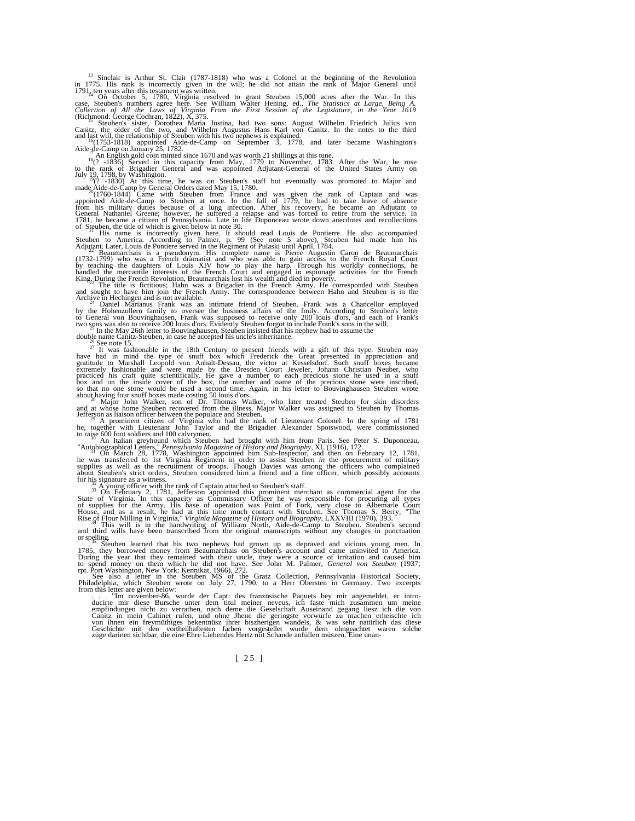<sup>13</sup> Sinclair is Arthur St. Clair (1787-1818) who was a Colonel at the beginning of the Revolution<br>in 1775. His rank is incorrectly given in the will; he did not attain the rank of Major General until<br>1791<sub><sub>14</sub> ten years </sub>

case, Steuben's numbers agree here. See William Walter Hening, ed., *The Statistics at Large, Being A. Collection of All the Laws of Virginia From the First Session of the Legislature, in the Year 1619* 

(Richmond: George Cochran, 1822), X, 375.<br><sup>13</sup> Steuben's sister, Dorothea Maria Justina, had two sons: August Wilhelm Friedrich Julius von<br>Canitz, the older of the two, and Wilhelm Augustus Hans Karl von Canitz. In the not

and last will, the relationship of Steuben with his two nephews is explained.<br>
<sup>16</sup> (1753-1818) appointed Aide-de-Camp on September 3, 1778, and later became Washington's<br>
Aide-de-Camp on January 25, 1782.<br>
Aide-de-Camp o

 $\frac{1}{2}$  and Aide-de-Camp by General Orders dated May 15, 1780.<br>
Thus tune, he was on Steuten and was given the rank of Captain and was appointed Aide-de-Camp by General Orders dated May 15, 1780.<br>
<sup>20</sup>(1760-1844) Came w

of Steuben, the title of which is given below in note 30.<br><sup>21</sup> His name is incorrectly given here. It should read Louis de Pontierre. He also accompanied<br>Steuben to America. According to Palmer, p. 99 (See note 5 above), S

Adjutant. Later, Louis de Pontiere served in the Regiment of Pulaski unii April, 1784.<br>
(1732-1799) who was a Pseudonym. His complete name is Pierre Augustin Caron de Beaumarchais<br>
(1732-1799) who was a French dramatist a

extremely fashionable and were made by the Dresden Court Jeweler, Johann Christian Neuber, who practiced his craft quite scientifically. He gave a number to each precious stone he used in a snuff<br>box and on the inside cove

and at whose home Steuben recovered from the illness. Major Walker was assigned to Steuben by Thomas<br>
Jefferson as liaison officer between the populace and Steuben.<br>
Jefferson as liaison officer between the populace and S

During the year that they remained with their uncle, they were a source of irritation and caused him<br>to spend money on them which he did not have. See John M. Palmer, *General von Steuben* (1937;<br>rpt. Port Washington, New

. . . "Im november-86, wurde der Capt: des französische Paquets bey mir angemeldet, er intro- ducirte mir diese Bursche unter dem titul meiner neveus, ich faste mich zusammen um meine empfindungen nicht zu verrathen, nach deme die Geselschaft Auseinand gegang liesz ich die von<br>Canitz in mein Cabinet rufen, und ohne Jhene die geringste vorwürfe zu machen erheischte ich<br>von ihnen ein freymüttliges bekentn

[ 25 ]